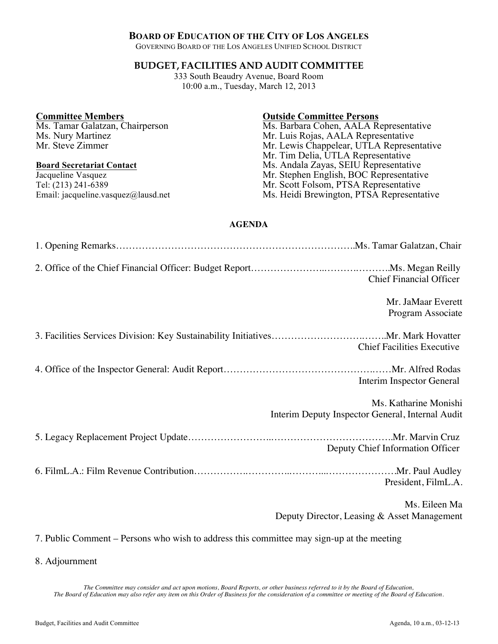# **BOARD OF EDUCATION OF THE CITY OF LOS ANGELES**

GOVERNING BOARD OF THE LOS ANGELES UNIFIED SCHOOL DISTRICT

# **BUDGET, FACILITIES AND AUDIT COMMITTEE**

333 South Beaudry Avenue, Board Room 10:00 a.m., Tuesday, March 12, 2013

### **Committee Members**

Ms. Tamar Galatzan, Chairperson Ms. Nury Martinez Mr. Steve Zimmer

### **Board Secretariat Contact**

Jacqueline Vasquez Tel: (213) 241-6389 Email: jacqueline.vasquez@lausd.net

## **Outside Committee Persons**

Ms. Barbara Cohen, AALA Representative Mr. Luis Rojas, AALA Representative Mr. Lewis Chappelear, UTLA Representative Mr. Tim Delia, UTLA Representative Ms. Andala Zayas, SEIU Representative Mr. Stephen English, BOC Representative Mr. Scott Folsom, PTSA Representative Ms. Heidi Brewington, PTSA Representative

## **AGENDA**

| <b>Chief Financial Officer</b>                                                            |
|-------------------------------------------------------------------------------------------|
| Mr. JaMaar Everett<br>Program Associate                                                   |
| <b>Chief Facilities Executive</b>                                                         |
| Interim Inspector General                                                                 |
| Ms. Katharine Monishi<br>Interim Deputy Inspector General, Internal Audit                 |
| Deputy Chief Information Officer                                                          |
| President, FilmL.A.                                                                       |
| Ms. Eileen Ma<br>Deputy Director, Leasing & Asset Management                              |
| 7. Public Comment – Persons who wish to address this committee may sign-up at the meeting |

8. Adjournment

*The Committee may consider and act upon motions, Board Reports, or other business referred to it by the Board of Education, The Board of Education may also refer any item on this Order of Business for the consideration of a committee or meeting of the Board of Education.*